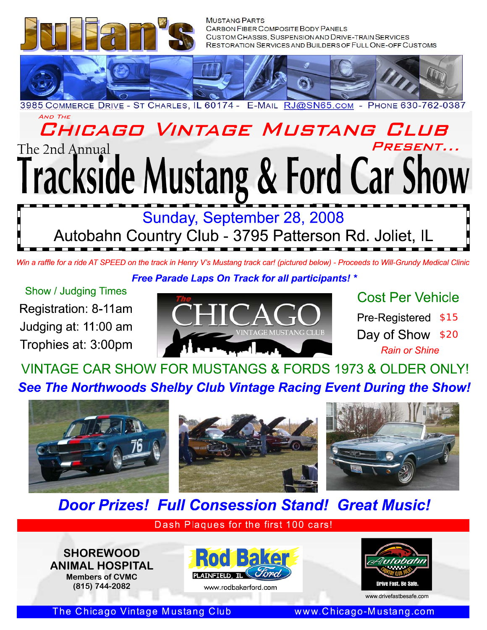

# CHICAGO VINTAGE MUSTANG CLUB PRESENT... The 2nd Annual **Irackside Mustang & Ford Car Show**

Sunday, September 28, 2008 Autobahn Country Club - 3795 Patterson Rd. Joliet, IL

**Free Parade Laps On Track for all participants!** \*

**Show / Judging Times** Registration: 8-11am Judging at: 11:00 am Trophies at: 3:00pm



**Cost Per Vehicle** Pre-Registered \$15 Day of Show \$20 **Rain or Shine** 

VINTAGE CAR SHOW FOR MUSTANGS & FORDS 1973 & OLDER ONLY! See The Northwoods Shelby Club Vintage Racing Event During the Show!



# **Door Prizes! Full Consession Stand! Great Music!**

Dash Plaques for the first 100 cars!

**SHOREWOOD ANIMAL HOSPITAL Members of CVMC** (815) 744-2082







www.drivefastbesafe.com

The Chicago Vintage Mustang Club

www.Chicago-Mustang.com